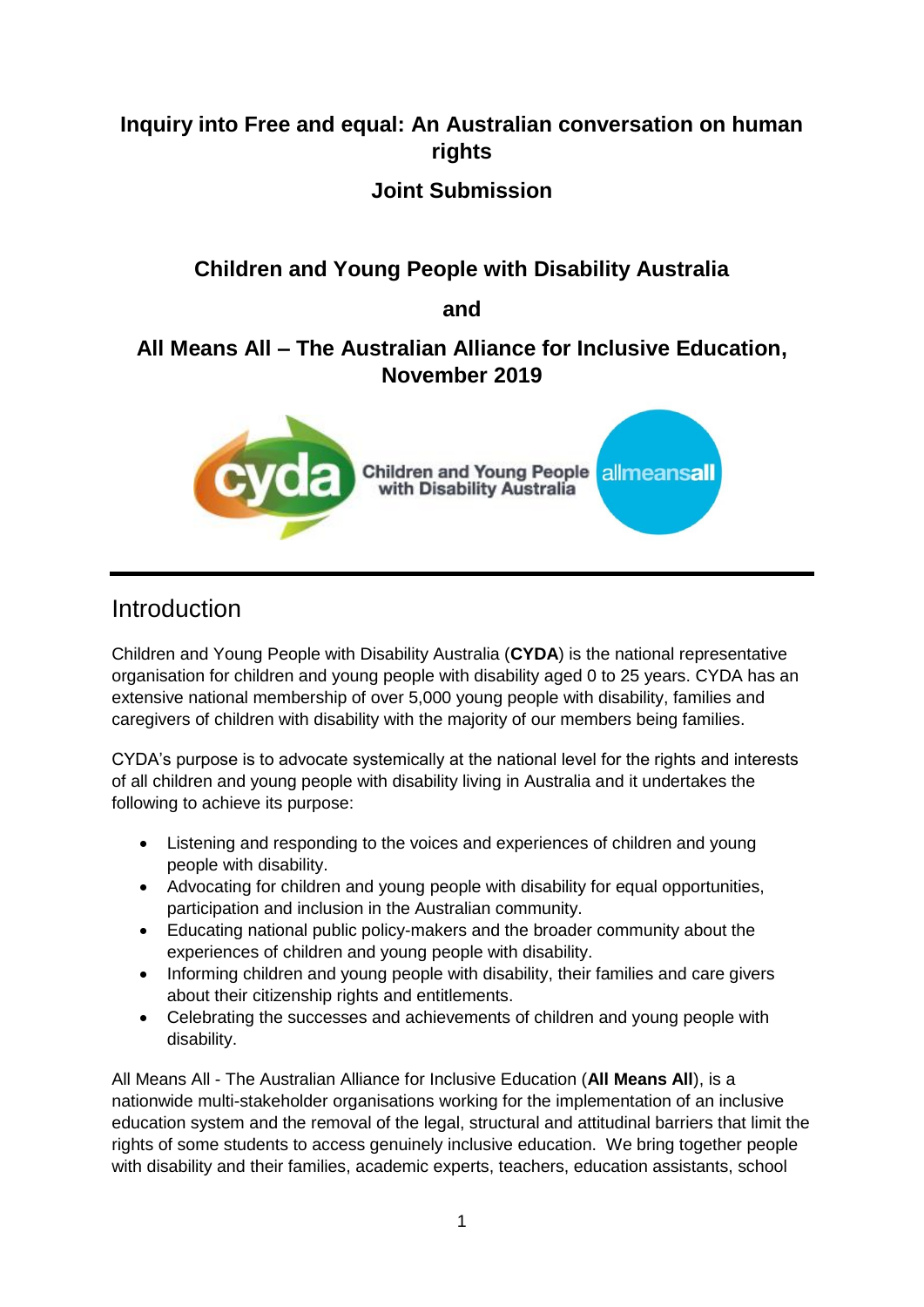# **Inquiry into Free and equal: An Australian conversation on human rights**

#### **Joint Submission**

## **Children and Young People with Disability Australia**

**and** 

#### **All Means All – The Australian Alliance for Inclusive Education, November 2019**



## Introduction

Children and Young People with Disability Australia (**CYDA**) is the national representative organisation for children and young people with disability aged 0 to 25 years. CYDA has an extensive national membership of over 5,000 young people with disability, families and caregivers of children with disability with the majority of our members being families.

CYDA's purpose is to advocate systemically at the national level for the rights and interests of all children and young people with disability living in Australia and it undertakes the following to achieve its purpose:

- Listening and responding to the voices and experiences of children and young people with disability.
- Advocating for children and young people with disability for equal opportunities, participation and inclusion in the Australian community.
- Educating national public policy-makers and the broader community about the experiences of children and young people with disability.
- Informing children and young people with disability, their families and care givers about their citizenship rights and entitlements.
- Celebrating the successes and achievements of children and young people with disability.

All Means All - The Australian Alliance for Inclusive Education (**All Means All**), is a nationwide multi-stakeholder organisations working for the implementation of an inclusive education system and the removal of the legal, structural and attitudinal barriers that limit the rights of some students to access genuinely inclusive education. We bring together people with disability and their families, academic experts, teachers, education assistants, school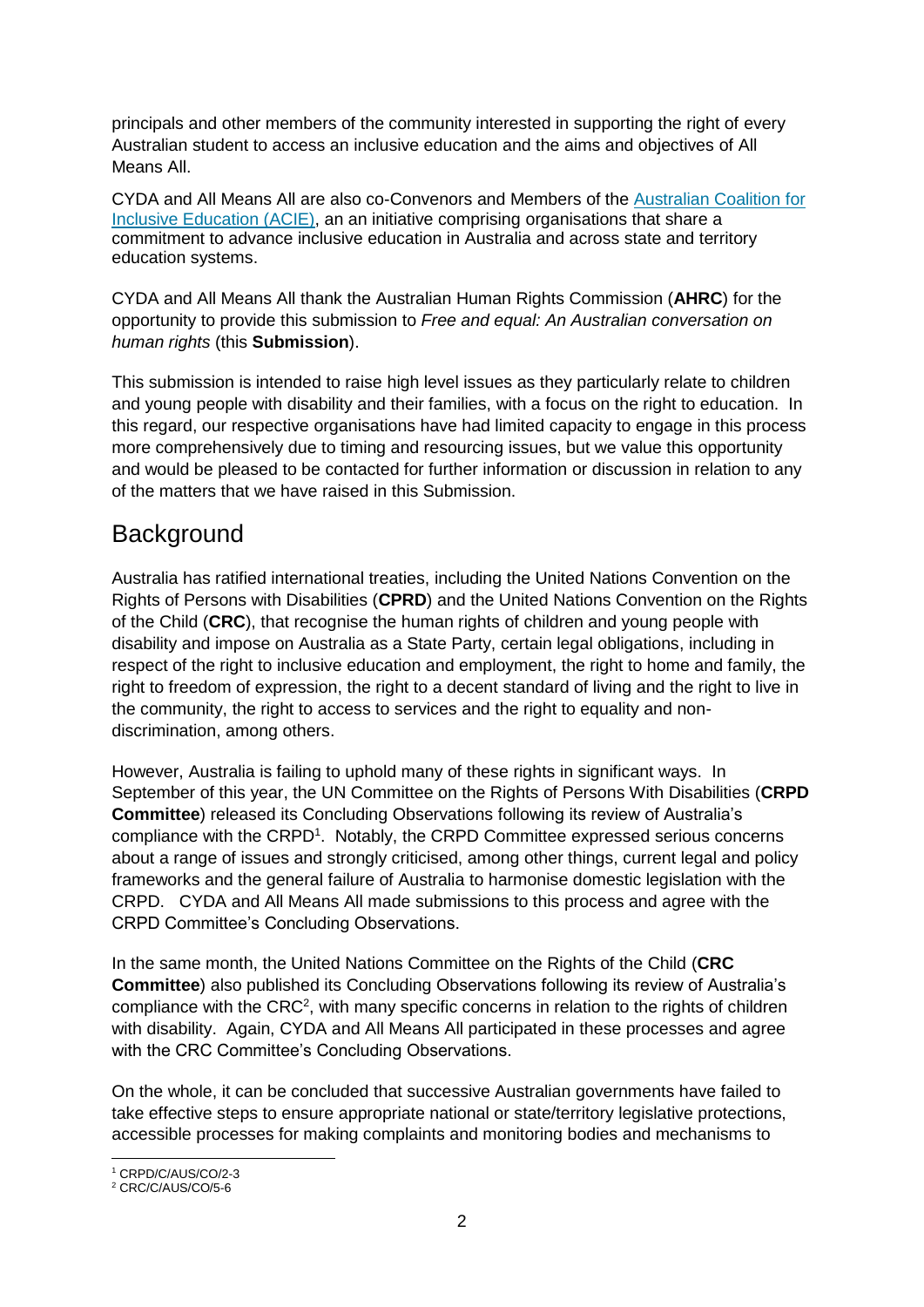principals and other members of the community interested in supporting the right of every Australian student to access an inclusive education and the aims and objectives of All Means All.

CYDA and All Means All are also co-Convenors and Members of the [Australian Coalition for](https://acie.org.au/)  [Inclusive Education \(ACIE\),](https://acie.org.au/) an an initiative comprising organisations that share a commitment to advance inclusive education in Australia and across state and territory education systems.

CYDA and All Means All thank the Australian Human Rights Commission (**AHRC**) for the opportunity to provide this submission to *Free and equal: An Australian conversation on human rights* (this **Submission**).

This submission is intended to raise high level issues as they particularly relate to children and young people with disability and their families, with a focus on the right to education. In this regard, our respective organisations have had limited capacity to engage in this process more comprehensively due to timing and resourcing issues, but we value this opportunity and would be pleased to be contacted for further information or discussion in relation to any of the matters that we have raised in this Submission.

# **Background**

Australia has ratified international treaties, including the United Nations Convention on the Rights of Persons with Disabilities (**CPRD**) and the United Nations Convention on the Rights of the Child (**CRC**), that recognise the human rights of children and young people with disability and impose on Australia as a State Party, certain legal obligations, including in respect of the right to inclusive education and employment, the right to home and family, the right to freedom of expression, the right to a decent standard of living and the right to live in the community, the right to access to services and the right to equality and nondiscrimination, among others.

However, Australia is failing to uphold many of these rights in significant ways. In September of this year, the UN Committee on the Rights of Persons With Disabilities (**CRPD Committee**) released its Concluding Observations following its review of Australia's compliance with the CRPD<sup>1</sup>. Notably, the CRPD Committee expressed serious concerns about a range of issues and strongly criticised, among other things, current legal and policy frameworks and the general failure of Australia to harmonise domestic legislation with the CRPD. CYDA and All Means All made submissions to this process and agree with the CRPD Committee's Concluding Observations.

In the same month, the United Nations Committee on the Rights of the Child (**CRC Committee**) also published its Concluding Observations following its review of Australia's compliance with the  $CRC<sup>2</sup>$ , with many specific concerns in relation to the rights of children with disability. Again, CYDA and All Means All participated in these processes and agree with the CRC Committee's Concluding Observations.

On the whole, it can be concluded that successive Australian governments have failed to take effective steps to ensure appropriate national or state/territory legislative protections, accessible processes for making complaints and monitoring bodies and mechanisms to

<sup>1</sup> <sup>1</sup> CRPD/C/AUS/CO/2-3

<sup>2</sup> CRC/C/AUS/CO/5-6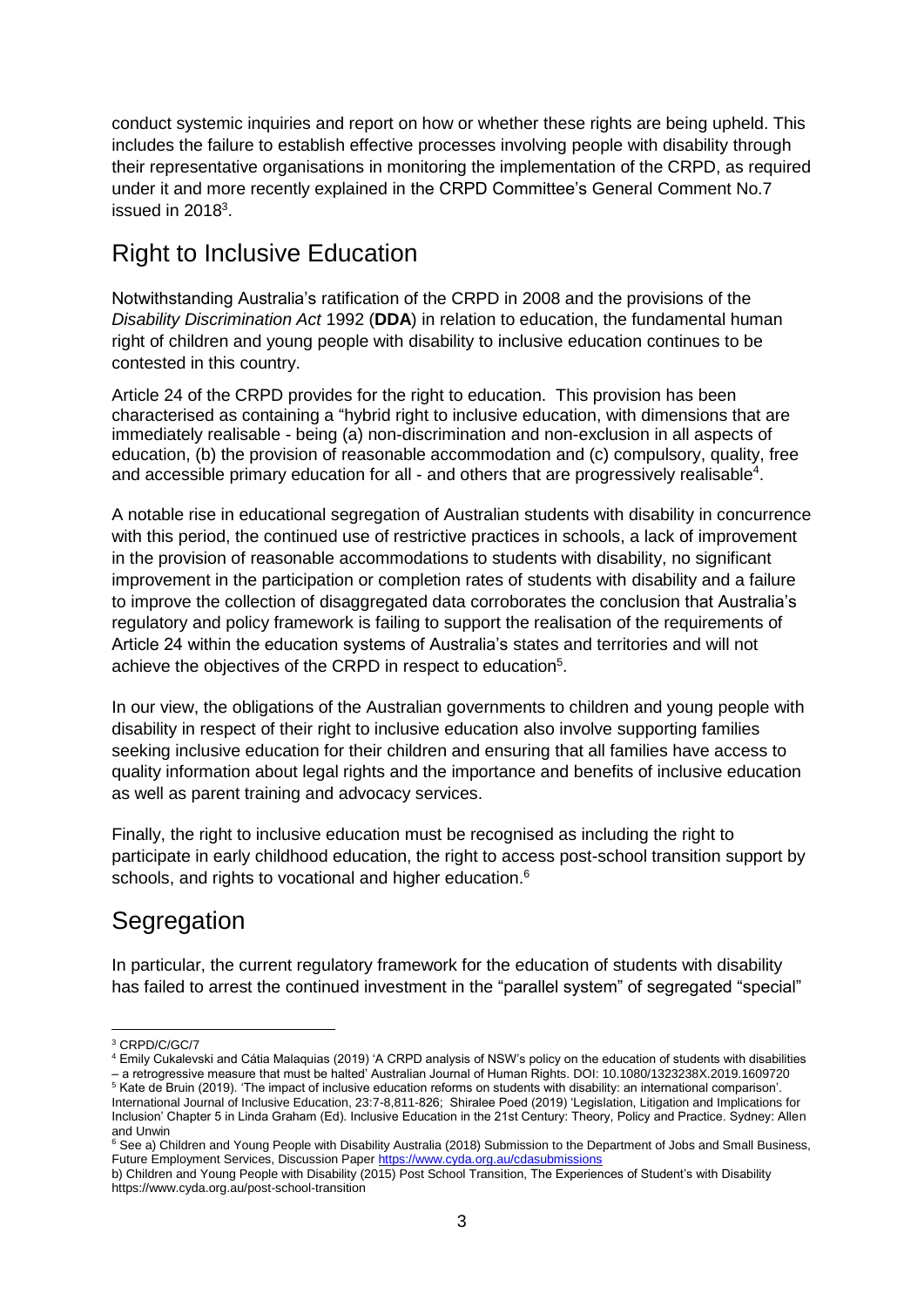conduct systemic inquiries and report on how or whether these rights are being upheld. This includes the failure to establish effective processes involving people with disability through their representative organisations in monitoring the implementation of the CRPD, as required under it and more recently explained in the CRPD Committee's General Comment No.7 issued in  $2018<sup>3</sup>$ .

# Right to Inclusive Education

Notwithstanding Australia's ratification of the CRPD in 2008 and the provisions of the *Disability Discrimination Act* 1992 (**DDA**) in relation to education, the fundamental human right of children and young people with disability to inclusive education continues to be contested in this country.

Article 24 of the CRPD provides for the right to education. This provision has been characterised as containing a "hybrid right to inclusive education, with dimensions that are immediately realisable - being (a) non-discrimination and non-exclusion in all aspects of education, (b) the provision of reasonable accommodation and (c) compulsory, quality, free and accessible primary education for all - and others that are progressively realisable<sup>4</sup>.

A notable rise in educational segregation of Australian students with disability in concurrence with this period, the continued use of restrictive practices in schools, a lack of improvement in the provision of reasonable accommodations to students with disability, no significant improvement in the participation or completion rates of students with disability and a failure to improve the collection of disaggregated data corroborates the conclusion that Australia's regulatory and policy framework is failing to support the realisation of the requirements of Article 24 within the education systems of Australia's states and territories and will not achieve the objectives of the CRPD in respect to education<sup>5</sup>.

In our view, the obligations of the Australian governments to children and young people with disability in respect of their right to inclusive education also involve supporting families seeking inclusive education for their children and ensuring that all families have access to quality information about legal rights and the importance and benefits of inclusive education as well as parent training and advocacy services.

Finally, the right to inclusive education must be recognised as including the right to participate in early childhood education, the right to access post-school transition support by schools, and rights to vocational and higher education.<sup>6</sup>

# **Segregation**

In particular, the current regulatory framework for the education of students with disability has failed to arrest the continued investment in the "parallel system" of segregated "special"

 $\overline{a}$ <sup>3</sup> CRPD/C/GC/7

<sup>4</sup> Emily Cukalevski and Cátia Malaquias (2019) 'A CRPD analysis of NSW's policy on the education of students with disabilities – a retrogressive measure that must be halted' Australian Journal of Human Rights. DOI: 10.1080/1323238X.2019.1609720

<sup>&</sup>lt;sup>5</sup> Kate de Bruin (2019). 'The impact of inclusive education reforms on students with disability: an international comparison'. International Journal of Inclusive Education, 23:7-8,811-826; Shiralee Poed (2019) 'Legislation, Litigation and Implications for Inclusion' Chapter 5 in Linda Graham (Ed). Inclusive Education in the 21st Century: Theory, Policy and Practice. Sydney: Allen and Unwin

<sup>&</sup>lt;sup>6</sup> See a) Children and Young People with Disability Australia (2018) Submission to the Department of Jobs and Small Business, Future Employment Services, Discussion Pape[r https://www.cyda.org.au/cdasubmissions](https://www.cyda.org.au/cdasubmissions)

b) Children and Young People with Disability (2015) Post School Transition, The Experiences of Student's with Disability https://www.cyda.org.au/post-school-transition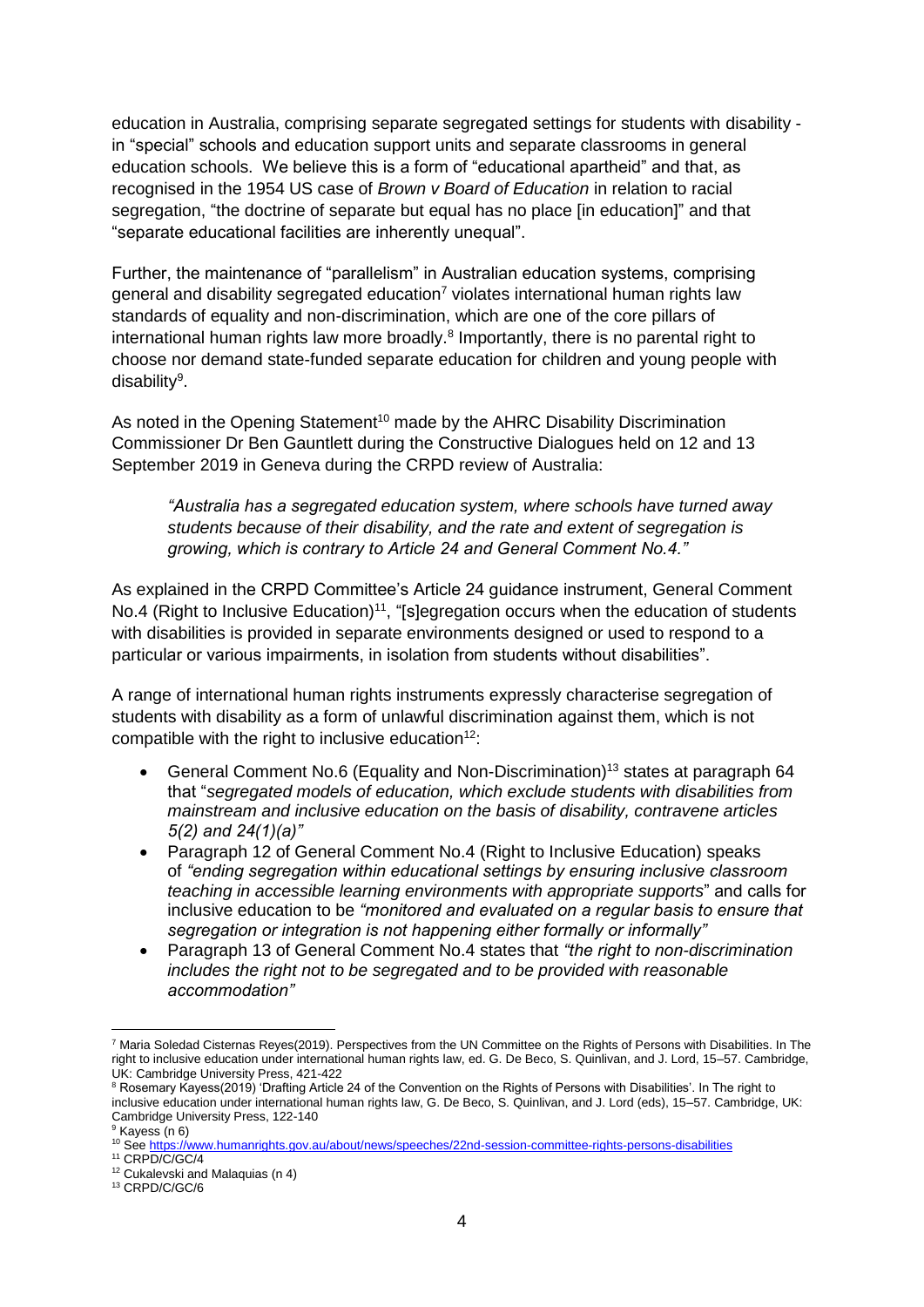education in Australia, comprising separate segregated settings for students with disability in "special" schools and education support units and separate classrooms in general education schools. We believe this is a form of "educational apartheid" and that, as recognised in the 1954 US case of *Brown v Board of Education* in relation to racial segregation, "the doctrine of separate but equal has no place [in education]" and that "separate educational facilities are inherently unequal".

Further, the maintenance of "parallelism" in Australian education systems, comprising general and disability segregated education<sup>7</sup> violates international human rights law standards of equality and non-discrimination, which are one of the core pillars of international human rights law more broadly.<sup>8</sup> Importantly, there is no parental right to choose nor demand state-funded separate education for children and young people with disability<sup>9</sup>.

As noted in the Opening Statement<sup>10</sup> made by the AHRC Disability Discrimination Commissioner Dr Ben Gauntlett during the Constructive Dialogues held on 12 and 13 September 2019 in Geneva during the CRPD review of Australia:

*"Australia has a segregated education system, where schools have turned away students because of their disability, and the rate and extent of segregation is growing, which is contrary to Article 24 and General Comment No.4."* 

As explained in the CRPD Committee's Article 24 guidance instrument, General Comment No.4 (Right to Inclusive Education)<sup>11</sup>, "[s]egregation occurs when the education of students with disabilities is provided in separate environments designed or used to respond to a particular or various impairments, in isolation from students without disabilities".

A range of international human rights instruments expressly characterise segregation of students with disability as a form of unlawful discrimination against them, which is not compatible with the right to inclusive education<sup>12</sup>:

- General Comment No.6 (Equality and Non-Discrimination)<sup>13</sup> states at paragraph 64 that "*segregated models of education, which exclude students with disabilities from mainstream and inclusive education on the basis of disability, contravene articles 5(2) and 24(1)(a)"*
- Paragraph 12 of General Comment No.4 (Right to Inclusive Education) speaks of *"ending segregation within educational settings by ensuring inclusive classroom teaching in accessible learning environments with appropriate supports*" and calls for inclusive education to be *"monitored and evaluated on a regular basis to ensure that segregation or integration is not happening either formally or informally"*
- Paragraph 13 of General Comment No.4 states that *"the right to non-discrimination includes the right not to be segregated and to be provided with reasonable accommodation"*

 $\overline{a}$ <sup>7</sup> Maria Soledad Cisternas Reyes(2019). Perspectives from the UN Committee on the Rights of Persons with Disabilities. In The right to inclusive education under international human rights law, ed. G. De Beco, S. Quinlivan, and J. Lord, 15–57. Cambridge, UK: Cambridge University Press, 421-422

<sup>&</sup>lt;sup>8</sup> Rosemary Kayess(2019) 'Drafting Article 24 of the Convention on the Rights of Persons with Disabilities'. In The right to inclusive education under international human rights law, G. De Beco, S. Quinlivan, and J. Lord (eds), 15–57. Cambridge, UK: Cambridge University Press, 122-140

<sup>&</sup>lt;sup>9</sup> Kayess (n 6)

<sup>&</sup>lt;sup>10</sup> Se[e https://www.humanrights.gov.au/about/news/speeches/22nd-session-committee-rights-persons-disabilities](https://www.humanrights.gov.au/about/news/speeches/22nd-session-committee-rights-persons-disabilities)

<sup>11</sup> CRPD/C/GC/4

<sup>12</sup> Cukalevski and Malaquias (n 4)

<sup>13</sup> CRPD/C/GC/6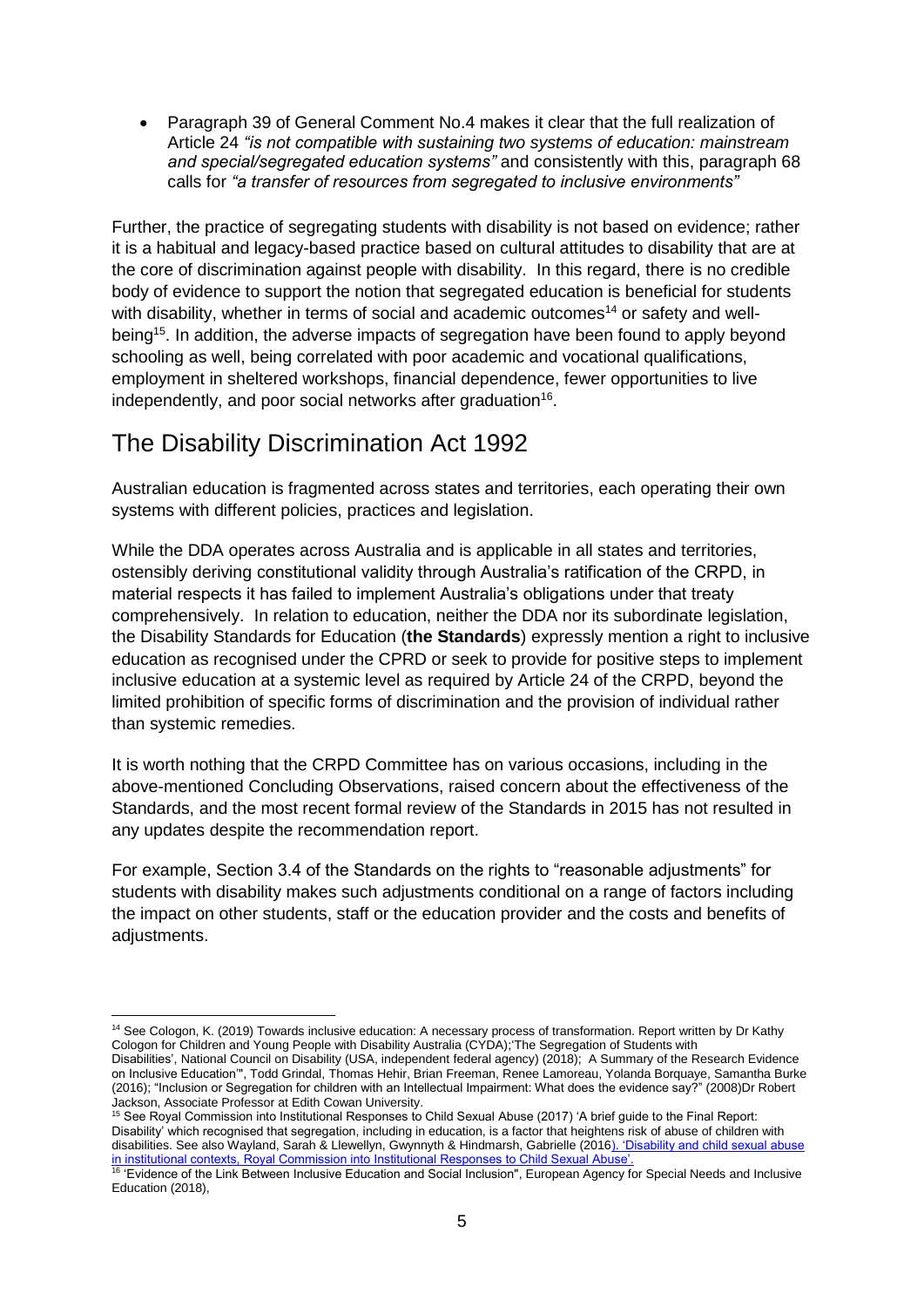Paragraph 39 of General Comment No.4 makes it clear that the full realization of Article 24 *"is not compatible with sustaining two systems of education: mainstream and special/segregated education systems"* and consistently with this, paragraph 68 calls for *"a transfer of resources from segregated to inclusive environments"*

Further, the practice of segregating students with disability is not based on evidence; rather it is a habitual and legacy-based practice based on cultural attitudes to disability that are at the core of discrimination against people with disability. In this regard, there is no credible body of evidence to support the notion that segregated education is beneficial for students with disability, whether in terms of social and academic outcomes<sup>14</sup> or safety and wellbeing<sup>15</sup>. In addition, the adverse impacts of segregation have been found to apply beyond schooling as well, being correlated with poor academic and vocational qualifications, employment in sheltered workshops, financial dependence, fewer opportunities to live independently, and poor social networks after graduation<sup>16</sup>.

# The Disability Discrimination Act 1992

Australian education is fragmented across states and territories, each operating their own systems with different policies, practices and legislation.

While the DDA operates across Australia and is applicable in all states and territories, ostensibly deriving constitutional validity through Australia's ratification of the CRPD, in material respects it has failed to implement Australia's obligations under that treaty comprehensively. In relation to education, neither the DDA nor its subordinate legislation, the Disability Standards for Education (**the Standards**) expressly mention a right to inclusive education as recognised under the CPRD or seek to provide for positive steps to implement inclusive education at a systemic level as required by Article 24 of the CRPD, beyond the limited prohibition of specific forms of discrimination and the provision of individual rather than systemic remedies.

It is worth nothing that the CRPD Committee has on various occasions, including in the above-mentioned Concluding Observations, raised concern about the effectiveness of the Standards, and the most recent formal review of the Standards in 2015 has not resulted in any updates despite the recommendation report.

For example, Section 3.4 of the Standards on the rights to "reasonable adjustments" for students with disability makes such adjustments conditional on a range of factors including the impact on other students, staff or the education provider and the costs and benefits of adjustments.

<sup>15</sup> See Royal Commission into Institutional Responses to Child Sexual Abuse (2017) 'A brief quide to the Final Report: Disability' which recognised that segregation, including in education, is a factor that heightens risk of abuse of children with disabilities. See also Wayland, Sarah & Llewellyn, Gwynnyth & Hindmarsh, Gabrielle (2016). 'Disability and child sexual abuse [in institutional contexts, Royal Commission into Institutional Responses to Child Sexual Abuse'.](https://www.researchgate.net/publication/309728772_Disability_and_child_sexual_abuse_in_institutional_contexts_Royal_Commission_into_Institutional_Responses_to_Child_Sexual_Abuse)

**<sup>.</sup>** <sup>14</sup> See Cologon, K. (2019) Towards inclusive education: A necessary process of transformation. Report written by Dr Kathy Cologon for Children and Young People with Disability Australia (CYDA);'The Segregation of Students with

Disabilities', National Council on Disability (USA, independent federal agency) (2018); [A Summary of the Research Evidence](https://ncd.gov/sites/default/files/NCD_Segregation-SWD_508.pdf?fbclid=IwAR2El7a42DiSLc41f9nQgrZ7lnQxJpjqEI4A4_vNG5yqJ6jptdNj4InkWPQ)  [on Inclusive Education'",](https://ncd.gov/sites/default/files/NCD_Segregation-SWD_508.pdf?fbclid=IwAR2El7a42DiSLc41f9nQgrZ7lnQxJpjqEI4A4_vNG5yqJ6jptdNj4InkWPQ) Todd Grindal, Thomas Hehir, Brian Freeman, Renee Lamoreau, Yolanda Borquaye, Samantha Burke (2016)[; "Inclusion or Segregation for children with an Intellectual Impairment: What does the evidence say?"](https://www.google.com.au/url?sa=t&rct=j&q=&esrc=s&source=web&cd=1&ved=0ahUKEwjWnu_tsMLJAhWBxZQKHeH1DsEQFggeMAA&url=http%3A%2F%2Fwww.ohchr.org%2FDocuments%2FIssues%2FDisability%2FStudyEducation%2FNGOs%2FAustraliaNationalCouncilIntellectualDisability2.pdf&usg=AFQjCNFMPkNk36osF1_btYVa2AnJjPAMTQ&sig2=pduRRfPMmGoq9DkTK5wW3A) (2008)Dr Robert Jackson, Associate Professor at Edith Cowan University.

<sup>&</sup>lt;sup>16</sup> ['Evidence of the Link Between Inclusive Education and Social Inclusion",](https://www.european-agency.org/sites/default/files/Evidence%20%E2%80%93%20A%20Review%20of%20the%20Literature_0.pdf) European Agency for Special Needs and Inclusive Education (2018),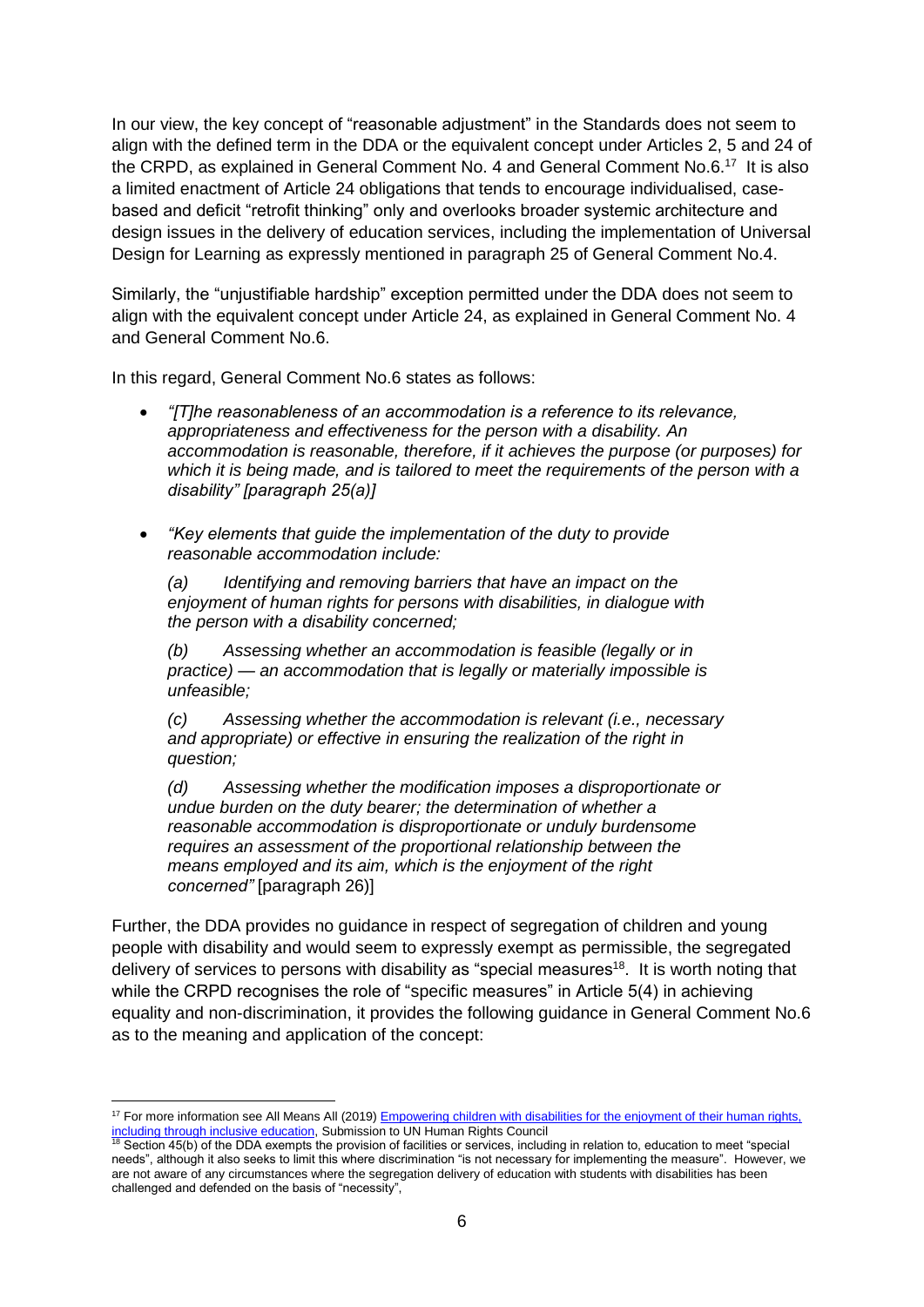In our view, the key concept of "reasonable adjustment" in the Standards does not seem to align with the defined term in the DDA or the equivalent concept under Articles 2, 5 and 24 of the CRPD, as explained in General Comment No. 4 and General Comment No.6.<sup>17</sup> It is also a limited enactment of Article 24 obligations that tends to encourage individualised, casebased and deficit "retrofit thinking" only and overlooks broader systemic architecture and design issues in the delivery of education services, including the implementation of Universal Design for Learning as expressly mentioned in paragraph 25 of General Comment No.4.

Similarly, the "unjustifiable hardship" exception permitted under the DDA does not seem to align with the equivalent concept under Article 24, as explained in General Comment No. 4 and General Comment No.6.

In this regard, General Comment No.6 states as follows:

- *"[T]he reasonableness of an accommodation is a reference to its relevance, appropriateness and effectiveness for the person with a disability. An accommodation is reasonable, therefore, if it achieves the purpose (or purposes) for which it is being made, and is tailored to meet the requirements of the person with a disability" [paragraph 25(a)]*
- *"Key elements that guide the implementation of the duty to provide reasonable accommodation include:*

*(a) Identifying and removing barriers that have an impact on the enjoyment of human rights for persons with disabilities, in dialogue with the person with a disability concerned;* 

*(b) Assessing whether an accommodation is feasible (legally or in practice) — an accommodation that is legally or materially impossible is unfeasible;* 

*(c) Assessing whether the accommodation is relevant (i.e., necessary and appropriate) or effective in ensuring the realization of the right in question;*

*(d) Assessing whether the modification imposes a disproportionate or undue burden on the duty bearer; the determination of whether a reasonable accommodation is disproportionate or unduly burdensome requires an assessment of the proportional relationship between the means employed and its aim, which is the enjoyment of the right concerned"* [paragraph 26)]

Further, the DDA provides no guidance in respect of segregation of children and young people with disability and would seem to expressly exempt as permissible, the segregated delivery of services to persons with disability as "special measures $18$ . It is worth noting that while the CRPD recognises the role of "specific measures" in Article 5(4) in achieving equality and non-discrimination, it provides the following guidance in General Comment No.6 as to the meaning and application of the concept:

<sup>1</sup> <sup>17</sup> For more information see All Means All (2019) Empowering children with disabilities for the enjoyment of their human rights, [including through inclusive education,](http://allmeansall.org.au/unhrc-submission-empowering-children-inclusive-education/) Submission to UN Human Rights Council

<sup>&</sup>lt;sup>18</sup> Section 45(b) of the DDA exempts the provision of facilities or services, including in relation to, education to meet "special needs", although it also seeks to limit this where discrimination "is not necessary for implementing the measure". However, we are not aware of any circumstances where the segregation delivery of education with students with disabilities has been challenged and defended on the basis of "necessity",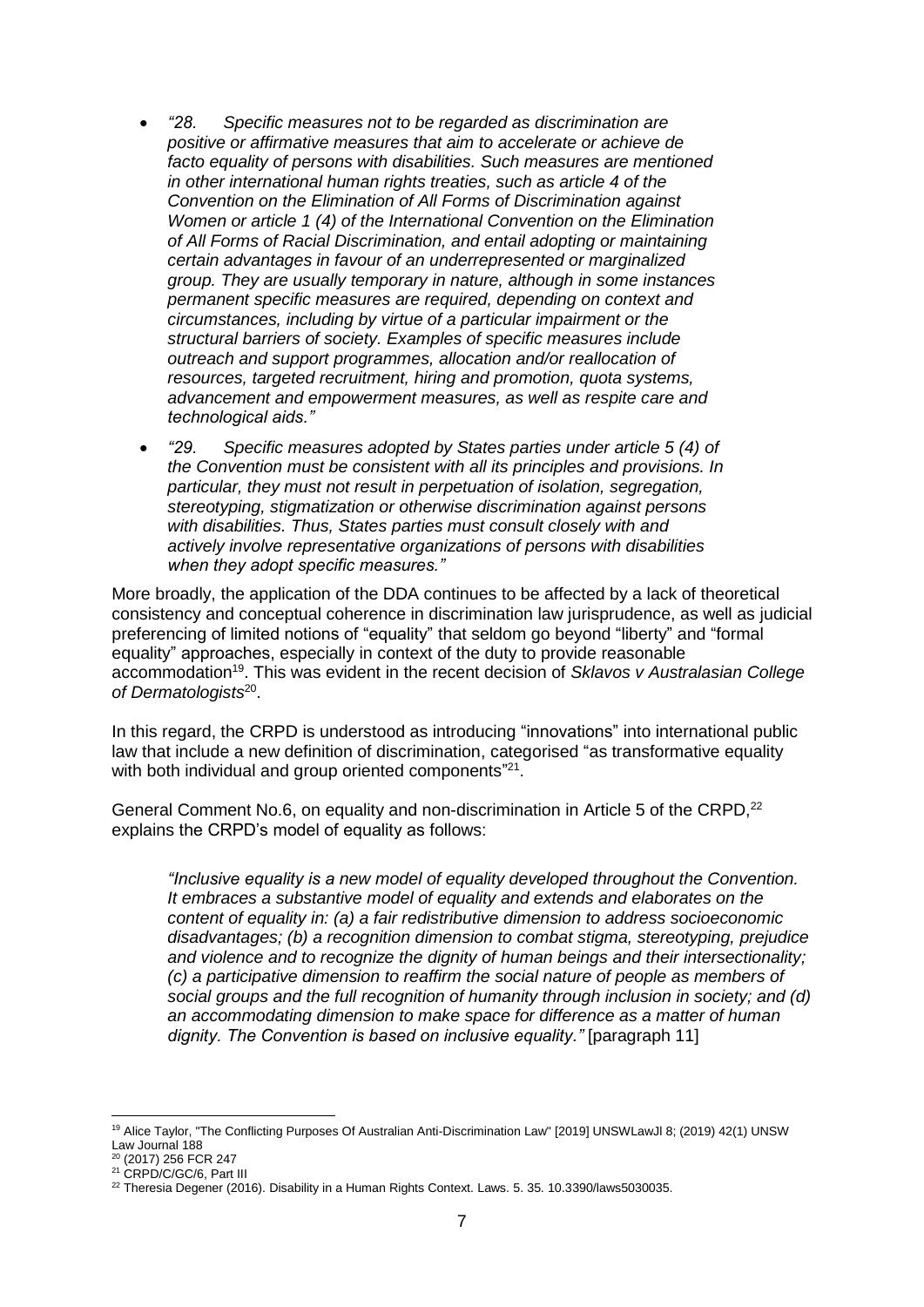- *"28. Specific measures not to be regarded as discrimination are positive or affirmative measures that aim to accelerate or achieve de facto equality of persons with disabilities. Such measures are mentioned in other international human rights treaties, such as article 4 of the Convention on the Elimination of All Forms of Discrimination against Women or article 1 (4) of the International Convention on the Elimination of All Forms of Racial Discrimination, and entail adopting or maintaining certain advantages in favour of an underrepresented or marginalized group. They are usually temporary in nature, although in some instances permanent specific measures are required, depending on context and circumstances, including by virtue of a particular impairment or the structural barriers of society. Examples of specific measures include outreach and support programmes, allocation and/or reallocation of resources, targeted recruitment, hiring and promotion, quota systems, advancement and empowerment measures, as well as respite care and technological aids."*
- *"29. Specific measures adopted by States parties under article 5 (4) of the Convention must be consistent with all its principles and provisions. In particular, they must not result in perpetuation of isolation, segregation, stereotyping, stigmatization or otherwise discrimination against persons with disabilities. Thus, States parties must consult closely with and actively involve representative organizations of persons with disabilities when they adopt specific measures."*

More broadly, the application of the DDA continues to be affected by a lack of theoretical consistency and conceptual coherence in discrimination law jurisprudence, as well as judicial preferencing of limited notions of "equality" that seldom go beyond "liberty" and "formal equality" approaches, especially in context of the duty to provide reasonable accommodation<sup>19</sup> . This was evident in the recent decision of *Sklavos v Australasian College of Dermatologists*<sup>20</sup> .

In this regard, the CRPD is understood as introducing "innovations" into international public law that include a new definition of discrimination, categorised "as transformative equality with both individual and group oriented components"<sup>21</sup>.

General Comment No.6, on equality and non-discrimination in Article 5 of the CRPD.<sup>22</sup> explains the CRPD's model of equality as follows:

*"Inclusive equality is a new model of equality developed throughout the Convention. It embraces a substantive model of equality and extends and elaborates on the content of equality in: (a) a fair redistributive dimension to address socioeconomic disadvantages; (b) a recognition dimension to combat stigma, stereotyping, prejudice and violence and to recognize the dignity of human beings and their intersectionality; (c) a participative dimension to reaffirm the social nature of people as members of social groups and the full recognition of humanity through inclusion in society; and (d) an accommodating dimension to make space for difference as a matter of human dignity. The Convention is based on inclusive equality."* [paragraph 11]

**.** 

<sup>19</sup> Alice Taylor, "The Conflicting Purposes Of Australian Anti-Discrimination Law" [2019] UNSWLawJl 8; (2019) 42(1) UNSW Law Journal 188

<sup>20</sup> (2017) 256 FCR 247

<sup>&</sup>lt;sup>21</sup> CRPD/C/GC/6, Part III

 $22$  Theresia Degener (2016). Disability in a Human Rights Context. Laws. 5. 35. 10.3390/laws5030035.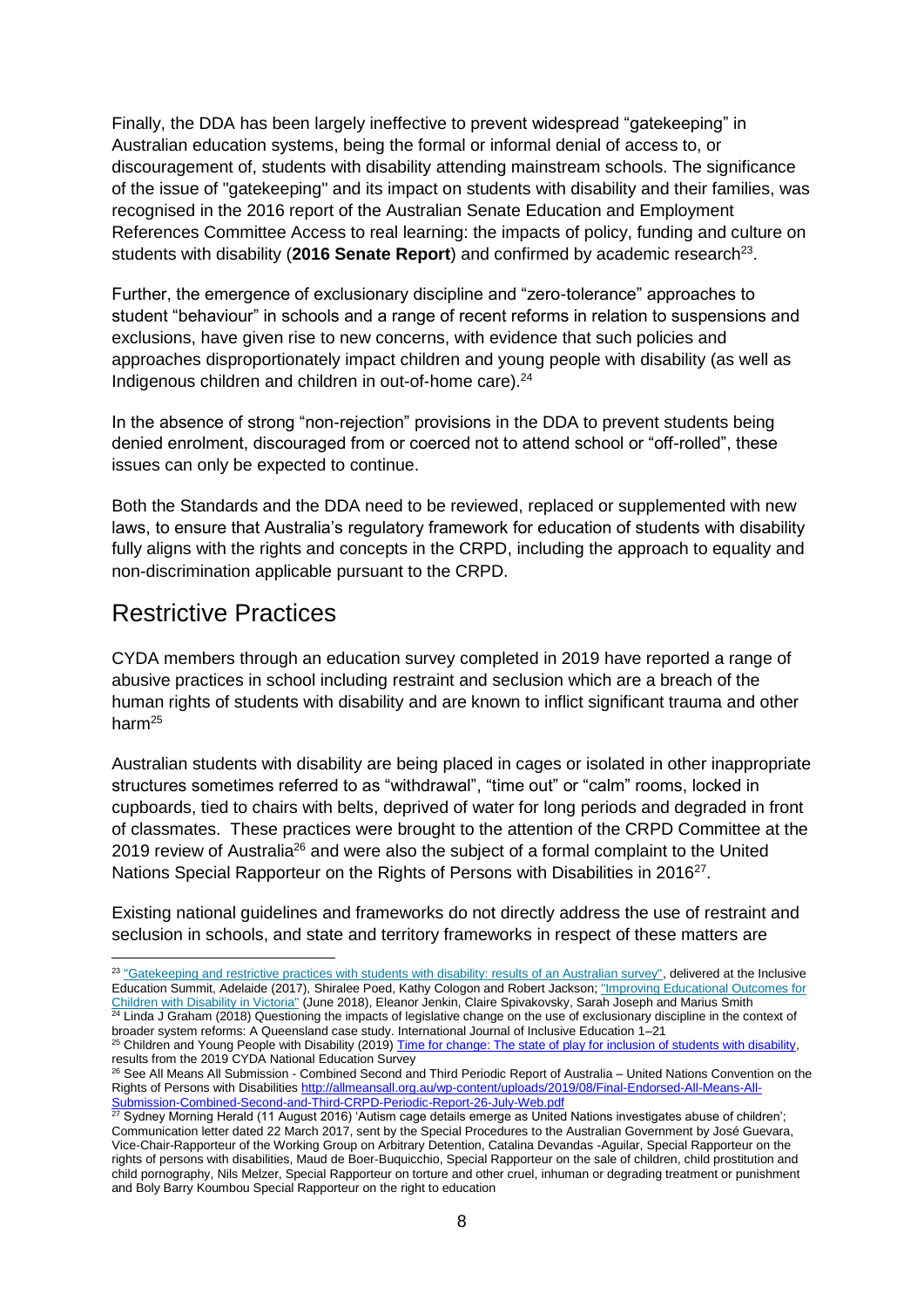Finally, the DDA has been largely ineffective to prevent widespread "gatekeeping" in Australian education systems, being the formal or informal denial of access to, or discouragement of, students with disability attending mainstream schools. The significance of the issue of "gatekeeping" and its impact on students with disability and their families, was recognised in the 2016 report of the Australian Senate Education and Employment References Committee Access to real learning: the impacts of policy, funding and culture on students with disability (2016 Senate Report) and confirmed by academic research<sup>23</sup>.

Further, the emergence of exclusionary discipline and "zero-tolerance" approaches to student "behaviour" in schools and a range of recent reforms in relation to suspensions and exclusions, have given rise to new concerns, with evidence that such policies and approaches disproportionately impact children and young people with disability (as well as Indigenous children and children in out-of-home care).<sup>24</sup>

In the absence of strong "non-rejection" provisions in the DDA to prevent students being denied enrolment, discouraged from or coerced not to attend school or "off-rolled", these issues can only be expected to continue.

Both the Standards and the DDA need to be reviewed, replaced or supplemented with new laws, to ensure that Australia's regulatory framework for education of students with disability fully aligns with the rights and concepts in the CRPD, including the approach to equality and non-discrimination applicable pursuant to the CRPD.

### Restrictive Practices

 $\overline{a}$ 

CYDA members through an education survey completed in 2019 have reported a range of abusive practices in school including restraint and seclusion which are a breach of the human rights of students with disability and are known to inflict significant trauma and other harm<sup>25</sup>

Australian students with disability are being placed in cages or isolated in other inappropriate structures sometimes referred to as "withdrawal", "time out" or "calm" rooms, locked in cupboards, tied to chairs with belts, deprived of water for long periods and degraded in front of classmates. These practices were brought to the attention of the CRPD Committee at the 2019 review of Australia<sup>26</sup> and were also the subject of a formal complaint to the United Nations Special Rapporteur on the Rights of Persons with Disabilities in 2016<sup>27</sup>.

Existing national guidelines and frameworks do not directly address the use of restraint and seclusion in schools, and state and territory frameworks in respect of these matters are

<sup>&</sup>lt;sup>23</sup> ["Gatekeeping and restrictive practices with students with disability: results of an Australian survey",](http://allmeansall.org.au/wp-content/uploads/2017/10/TIES-4.0-20172.pdf) delivered at the Inclusive Education Summit, Adelaide (2017), Shiralee Poed, Kathy Cologon and Robert Jackson[; "Improving Educational Outcomes for](https://www.monash.edu/__data/assets/file/0016/1412170/Castan-Centre-Improving-Educational-Outcomes-for-Students-with-Disability.pdf?utm_source=newsletter&utm_medium=email&utm_campaign=read_our_landmark_report_into_the_education_of_children_with_disability&utm_term=2018-06-28))  [Children with Disability in Victoria"](https://www.monash.edu/__data/assets/file/0016/1412170/Castan-Centre-Improving-Educational-Outcomes-for-Students-with-Disability.pdf?utm_source=newsletter&utm_medium=email&utm_campaign=read_our_landmark_report_into_the_education_of_children_with_disability&utm_term=2018-06-28)) (June 2018), Eleanor Jenkin, Claire Spivakovsky, Sarah Joseph and Marius Smith <sup>24</sup> Linda J Graham (2018) Questioning the impacts of legislative change on the use of exclusionary discipline in the context of broader system reforms: A Queensland case study. International Journal of Inclusive Education 1–21

<sup>&</sup>lt;sup>25</sup> Children and Young People with Disability (2019) [Time for change: The state of play for inclusion of students with disability,](https://www.cyda.org.au/inclusion-in-education) results from the 2019 CYDA National Education Survey

<sup>26</sup> See All Means All Submission - Combined Second and Third Periodic Report of Australia – United Nations Convention on the Rights of Persons with Disabilities [http://allmeansall.org.au/wp-content/uploads/2019/08/Final-Endorsed-All-Means-All-](http://allmeansall.org.au/wp-content/uploads/2019/08/Final-Endorsed-All-Means-All-Submission-Combined-Second-and-Third-CRPD-Periodic-Report-26-July-Web.pdf)[Submission-Combined-Second-and-Third-CRPD-Periodic-Report-26-July-Web.pdf](http://allmeansall.org.au/wp-content/uploads/2019/08/Final-Endorsed-All-Means-All-Submission-Combined-Second-and-Third-CRPD-Periodic-Report-26-July-Web.pdf)

<sup>&</sup>lt;sup>27</sup> Sydney Morning Herald (11 August 2016) 'Autism cage details emerge as United Nations investigates abuse of children'; Communication letter dated 22 March 2017, sent by the Special Procedures to the Australian Government by José Guevara, Vice-Chair-Rapporteur of the Working Group on Arbitrary Detention, Catalina Devandas -Aguilar, Special Rapporteur on the rights of persons with disabilities, Maud de Boer-Buquicchio, Special Rapporteur on the sale of children, child prostitution and child pornography, Nils Melzer, Special Rapporteur on torture and other cruel, inhuman or degrading treatment or punishment and Boly Barry Koumbou Special Rapporteur on the right to education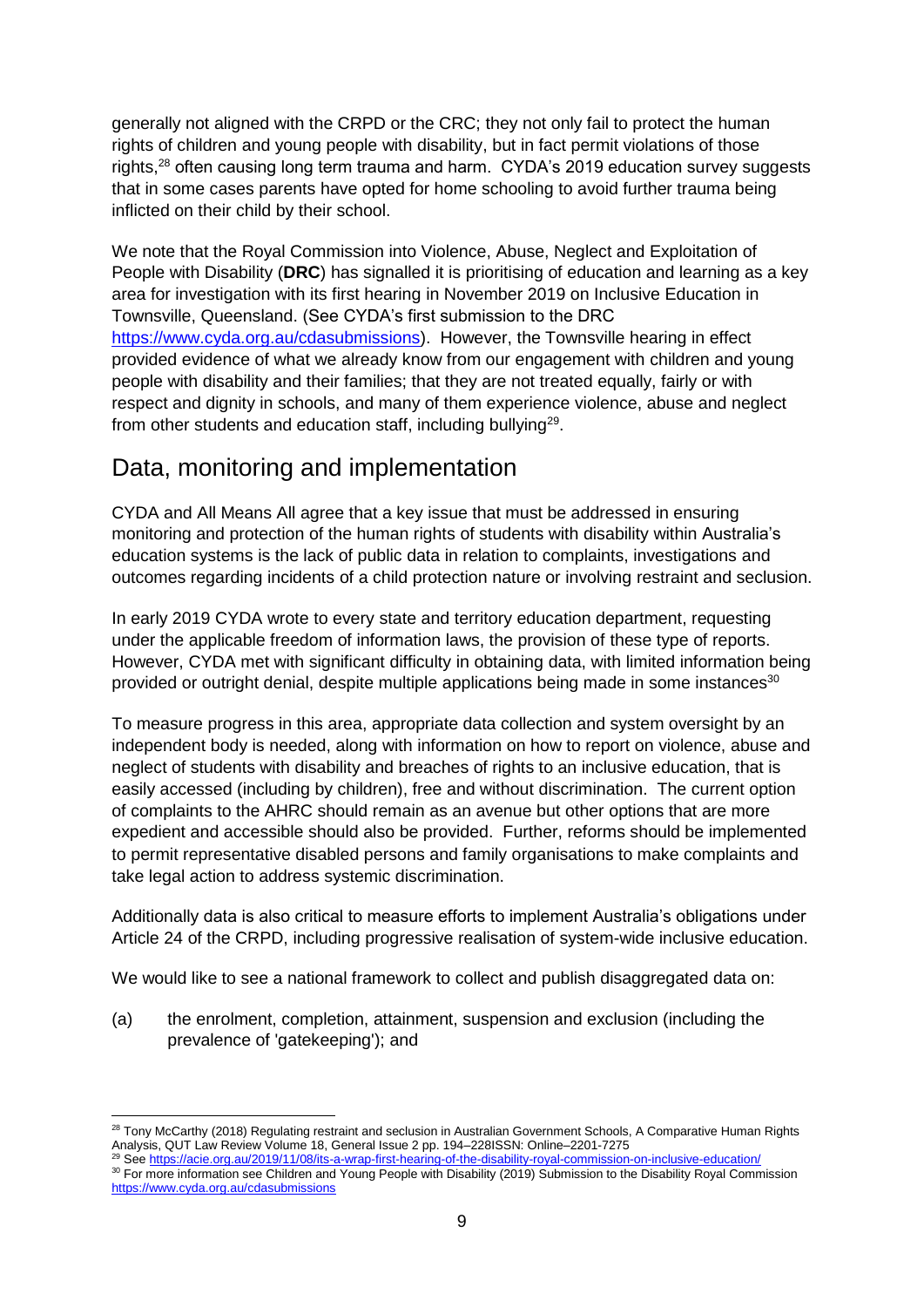generally not aligned with the CRPD or the CRC; they not only fail to protect the human rights of children and young people with disability, but in fact permit violations of those rights,<sup>28</sup> often causing long term trauma and harm. CYDA's 2019 education survey suggests that in some cases parents have opted for home schooling to avoid further trauma being inflicted on their child by their school.

We note that the Royal Commission into Violence, Abuse, Neglect and Exploitation of People with Disability (**DRC**) has signalled it is prioritising of education and learning as a key area for investigation with its first hearing in November 2019 on Inclusive Education in Townsville, Queensland. (See CYDA's first submission to the DRC [https://www.cyda.org.au/cdasubmissions\)](https://www.cyda.org.au/cdasubmissions). However, the Townsville hearing in effect provided evidence of what we already know from our engagement with children and young people with disability and their families; that they are not treated equally, fairly or with respect and dignity in schools, and many of them experience violence, abuse and neglect from other students and education staff, including bullying $^{29}$ .

# Data, monitoring and implementation

CYDA and All Means All agree that a key issue that must be addressed in ensuring monitoring and protection of the human rights of students with disability within Australia's education systems is the lack of public data in relation to complaints, investigations and outcomes regarding incidents of a child protection nature or involving restraint and seclusion.

In early 2019 CYDA wrote to every state and territory education department, requesting under the applicable freedom of information laws, the provision of these type of reports. However, CYDA met with significant difficulty in obtaining data, with limited information being provided or outright denial, despite multiple applications being made in some instances<sup>30</sup>

To measure progress in this area, appropriate data collection and system oversight by an independent body is needed, along with information on how to report on violence, abuse and neglect of students with disability and breaches of rights to an inclusive education, that is easily accessed (including by children), free and without discrimination. The current option of complaints to the AHRC should remain as an avenue but other options that are more expedient and accessible should also be provided. Further, reforms should be implemented to permit representative disabled persons and family organisations to make complaints and take legal action to address systemic discrimination.

Additionally data is also critical to measure efforts to implement Australia's obligations under Article 24 of the CRPD, including progressive realisation of system-wide inclusive education.

We would like to see a national framework to collect and publish disaggregated data on:

(a) the enrolment, completion, attainment, suspension and exclusion (including the prevalence of 'gatekeeping'); and

**<sup>.</sup>** <sup>28</sup> Tony McCarthy (2018) Regulating restraint and seclusion in Australian Government Schools, A Comparative Human Rights Analysis, QUT Law Review Volume 18, General Issue 2 pp. 194–228ISSN: Online–2201-7275

<sup>&</sup>lt;sup>29</sup> Se[e https://acie.org.au/2019/11/08/its-a-wrap-first-hearing-of-the-disability-royal-commission-on-inclusive-education/](https://acie.org.au/2019/11/08/its-a-wrap-first-hearing-of-the-disability-royal-commission-on-inclusive-education/)

<sup>30</sup> For more information see Children and Young People with Disability (2019) Submission to the Disability Royal Commission <https://www.cyda.org.au/cdasubmissions>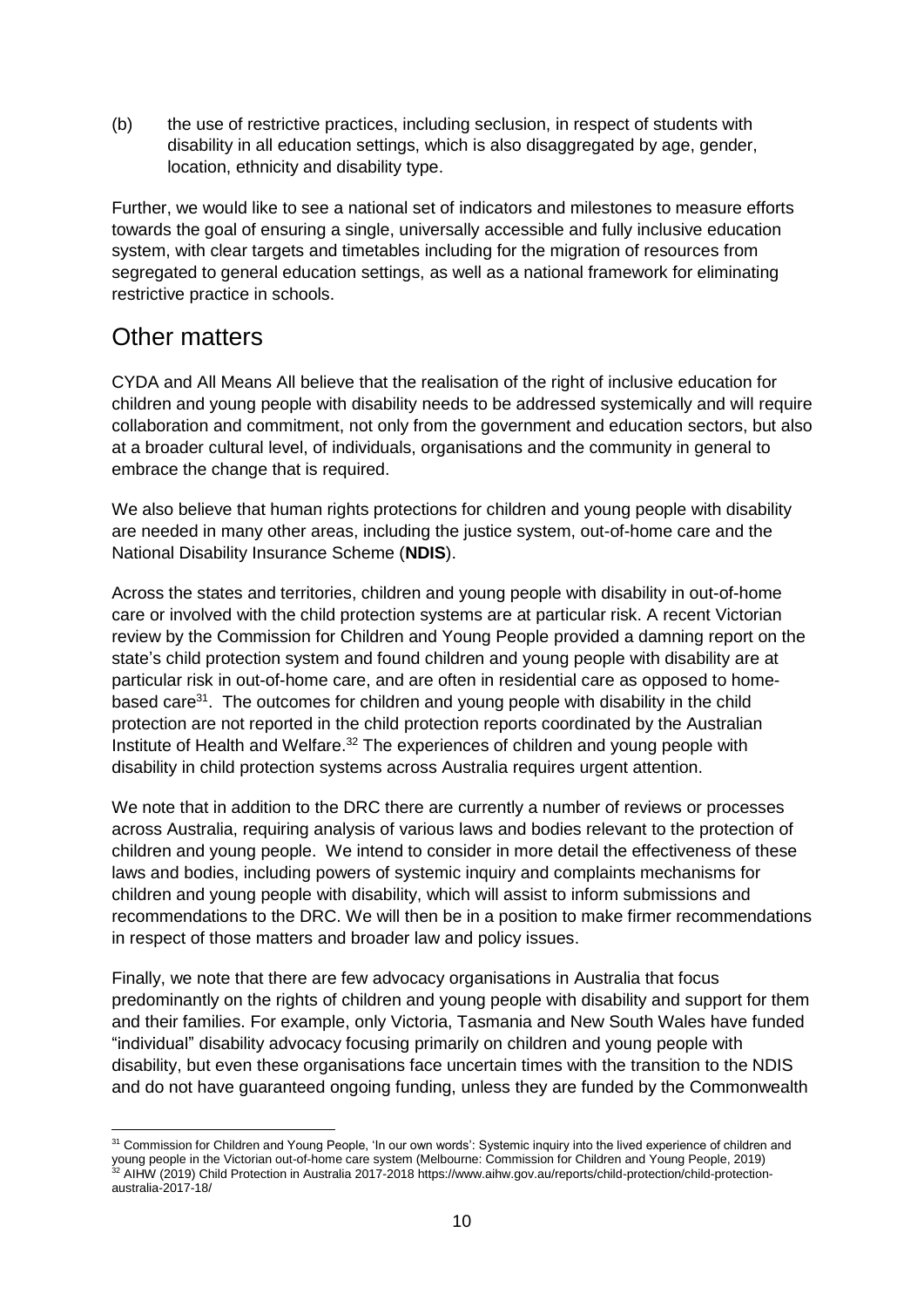(b) the use of restrictive practices, including seclusion, in respect of students with disability in all education settings, which is also disaggregated by age, gender, location, ethnicity and disability type.

Further, we would like to see a national set of indicators and milestones to measure efforts towards the goal of ensuring a single, universally accessible and fully inclusive education system, with clear targets and timetables including for the migration of resources from segregated to general education settings, as well as a national framework for eliminating restrictive practice in schools.

### Other matters

**.** 

CYDA and All Means All believe that the realisation of the right of inclusive education for children and young people with disability needs to be addressed systemically and will require collaboration and commitment, not only from the government and education sectors, but also at a broader cultural level, of individuals, organisations and the community in general to embrace the change that is required.

We also believe that human rights protections for children and young people with disability are needed in many other areas, including the justice system, out-of-home care and the National Disability Insurance Scheme (**NDIS**).

Across the states and territories, children and young people with disability in out-of-home care or involved with the child protection systems are at particular risk. A recent Victorian review by the Commission for Children and Young People provided a damning report on the state's child protection system and found children and young people with disability are at particular risk in out-of-home care, and are often in residential care as opposed to homebased care<sup>31</sup>. The outcomes for children and young people with disability in the child protection are not reported in the child protection reports coordinated by the Australian Institute of Health and Welfare.<sup>32</sup> The experiences of children and young people with disability in child protection systems across Australia requires urgent attention.

We note that in addition to the DRC there are currently a number of reviews or processes across Australia, requiring analysis of various laws and bodies relevant to the protection of children and young people. We intend to consider in more detail the effectiveness of these laws and bodies, including powers of systemic inquiry and complaints mechanisms for children and young people with disability, which will assist to inform submissions and recommendations to the DRC. We will then be in a position to make firmer recommendations in respect of those matters and broader law and policy issues.

Finally, we note that there are few advocacy organisations in Australia that focus predominantly on the rights of children and young people with disability and support for them and their families. For example, only Victoria, Tasmania and New South Wales have funded "individual" disability advocacy focusing primarily on children and young people with disability, but even these organisations face uncertain times with the transition to the NDIS and do not have guaranteed ongoing funding, unless they are funded by the Commonwealth

<sup>&</sup>lt;sup>31</sup> Commission for Children and Young People, 'In our own words': Systemic inquiry into the lived experience of children and young people in the Victorian out-of-home care system (Melbourne: Commission for Children and Young People, 2019) <sup>32</sup> AIHW (2019) Child Protection in Australia 2017-2018 https://www.aihw.gov.au/reports/child-protection/child-protectionaustralia-2017-18/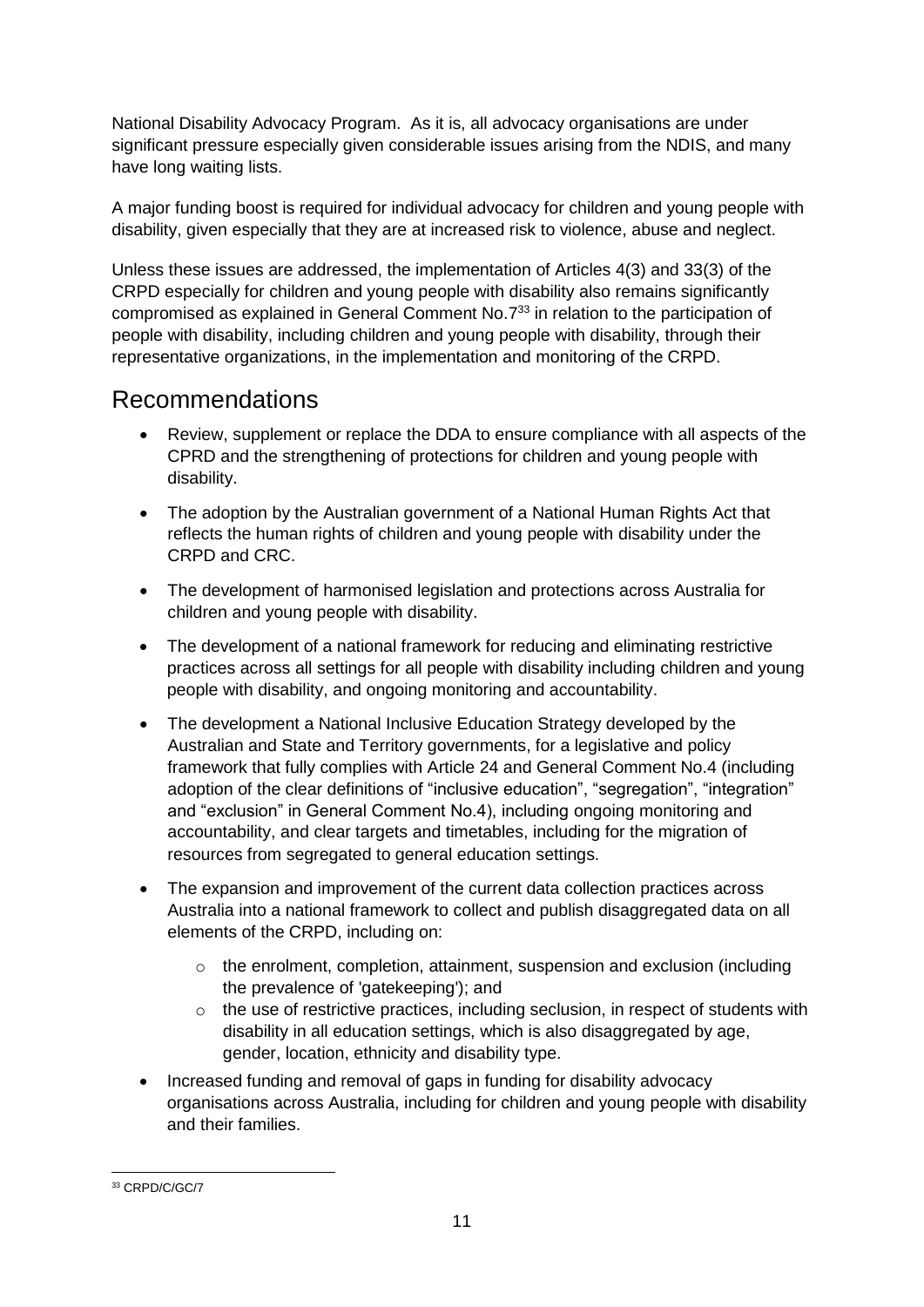National Disability Advocacy Program. As it is, all advocacy organisations are under significant pressure especially given considerable issues arising from the NDIS, and many have long waiting lists.

A major funding boost is required for individual advocacy for children and young people with disability, given especially that they are at increased risk to violence, abuse and neglect.

Unless these issues are addressed, the implementation of Articles 4(3) and 33(3) of the CRPD especially for children and young people with disability also remains significantly compromised as explained in General Comment No.7 <sup>33</sup> in relation to the participation of people with disability, including children and young people with disability, through their representative organizations, in the implementation and monitoring of the CRPD.

#### Recommendations

- Review, supplement or replace the DDA to ensure compliance with all aspects of the CPRD and the strengthening of protections for children and young people with disability.
- The adoption by the Australian government of a National Human Rights Act that reflects the human rights of children and young people with disability under the CRPD and CRC.
- The development of harmonised legislation and protections across Australia for children and young people with disability.
- The development of a national framework for reducing and eliminating restrictive practices across all settings for all people with disability including children and young people with disability, and ongoing monitoring and accountability.
- The development a National Inclusive Education Strategy developed by the Australian and State and Territory governments, for a legislative and policy framework that fully complies with Article 24 and General Comment No.4 (including adoption of the clear definitions of "inclusive education", "segregation", "integration" and "exclusion" in General Comment No.4), including ongoing monitoring and accountability, and clear targets and timetables, including for the migration of resources from segregated to general education settings.
- The expansion and improvement of the current data collection practices across Australia into a national framework to collect and publish disaggregated data on all elements of the CRPD, including on:
	- o the enrolment, completion, attainment, suspension and exclusion (including the prevalence of 'gatekeeping'); and
	- o the use of restrictive practices, including seclusion, in respect of students with disability in all education settings, which is also disaggregated by age, gender, location, ethnicity and disability type.
- Increased funding and removal of gaps in funding for disability advocacy organisations across Australia, including for children and young people with disability and their families.

**<sup>.</sup>** <sup>33</sup> CRPD/C/GC/7